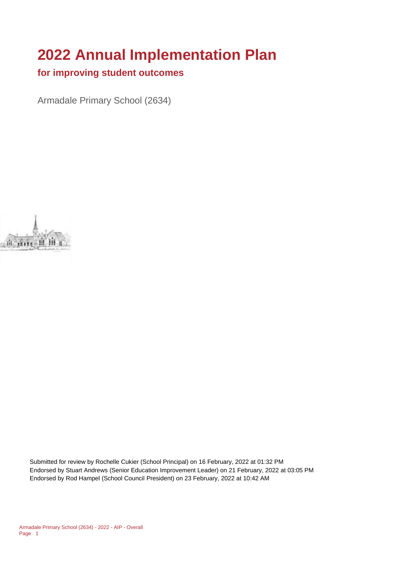# **2022 Annual Implementation Plan**

#### **for improving student outcomes**

Armadale Primary School (2634)



Submitted for review by Rochelle Cukier (School Principal) on 16 February, 2022 at 01:32 PM Endorsed by Stuart Andrews (Senior Education Improvement Leader) on 21 February, 2022 at 03:05 PM Endorsed by Rod Hampel (School Council President) on 23 February, 2022 at 10:42 AM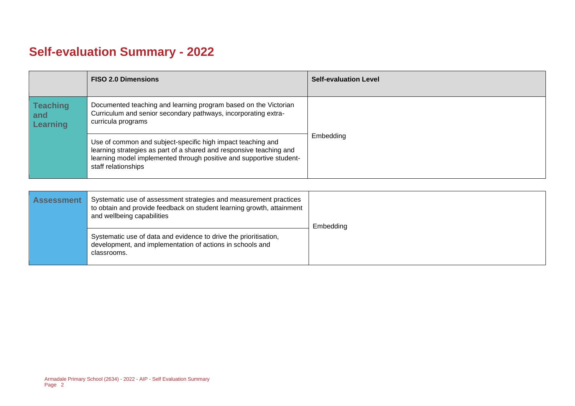## **Self-evaluation Summary - 2022**

|                                           | <b>FISO 2.0 Dimensions</b>                                                                                                                                                                                                       | <b>Self-evaluation Level</b> |
|-------------------------------------------|----------------------------------------------------------------------------------------------------------------------------------------------------------------------------------------------------------------------------------|------------------------------|
| <b>Teaching</b><br>and<br><b>Learning</b> | Documented teaching and learning program based on the Victorian<br>Curriculum and senior secondary pathways, incorporating extra-<br>curricula programs                                                                          |                              |
|                                           | Use of common and subject-specific high impact teaching and<br>learning strategies as part of a shared and responsive teaching and<br>learning model implemented through positive and supportive student-<br>staff relationships | Embedding                    |

| <b>Assessment</b> | Systematic use of assessment strategies and measurement practices<br>to obtain and provide feedback on student learning growth, attainment<br>and wellbeing capabilities | Embedding |
|-------------------|--------------------------------------------------------------------------------------------------------------------------------------------------------------------------|-----------|
|                   | Systematic use of data and evidence to drive the prioritisation,<br>development, and implementation of actions in schools and<br>classrooms.                             |           |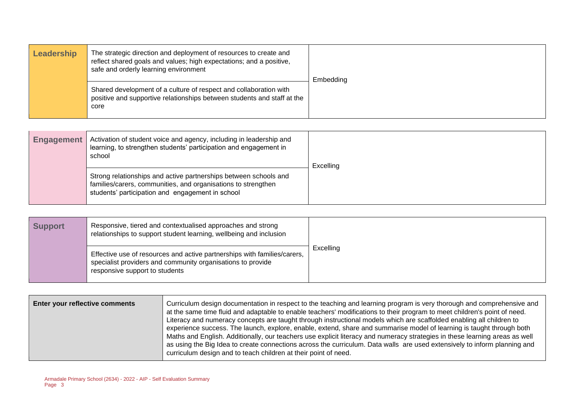| Leadership | The strategic direction and deployment of resources to create and<br>reflect shared goals and values; high expectations; and a positive,<br>safe and orderly learning environment | Embedding |
|------------|-----------------------------------------------------------------------------------------------------------------------------------------------------------------------------------|-----------|
|            | Shared development of a culture of respect and collaboration with<br>positive and supportive relationships between students and staff at the<br>core                              |           |

| <b>Engagement</b> | Activation of student voice and agency, including in leadership and<br>learning, to strengthen students' participation and engagement in<br>school                                    | Excelling |
|-------------------|---------------------------------------------------------------------------------------------------------------------------------------------------------------------------------------|-----------|
|                   | Strong relationships and active partnerships between schools and<br>families/carers, communities, and organisations to strengthen<br>students' participation and engagement in school |           |

| <b>Support</b> | Responsive, tiered and contextualised approaches and strong<br>relationships to support student learning, wellbeing and inclusion                                         |           |
|----------------|---------------------------------------------------------------------------------------------------------------------------------------------------------------------------|-----------|
|                | Effective use of resources and active partnerships with families/carers,<br>specialist providers and community organisations to provide<br>responsive support to students | Excelling |

| Enter your reflective comments | Curriculum design documentation in respect to the teaching and learning program is very thorough and comprehensive and<br>at the same time fluid and adaptable to enable teachers' modifications to their program to meet children's point of need.<br>Literacy and numeracy concepts are taught through instructional models which are scaffolded enabling all children to<br>experience success. The launch, explore, enable, extend, share and summarise model of learning is taught through both<br>Maths and English. Additionally, our teachers use explicit literacy and numeracy strategies in these learning areas as well<br>as using the Big Idea to create connections across the curriculum. Data walls are used extensively to inform planning and |
|--------------------------------|------------------------------------------------------------------------------------------------------------------------------------------------------------------------------------------------------------------------------------------------------------------------------------------------------------------------------------------------------------------------------------------------------------------------------------------------------------------------------------------------------------------------------------------------------------------------------------------------------------------------------------------------------------------------------------------------------------------------------------------------------------------|
|                                | curriculum design and to teach children at their point of need.                                                                                                                                                                                                                                                                                                                                                                                                                                                                                                                                                                                                                                                                                                  |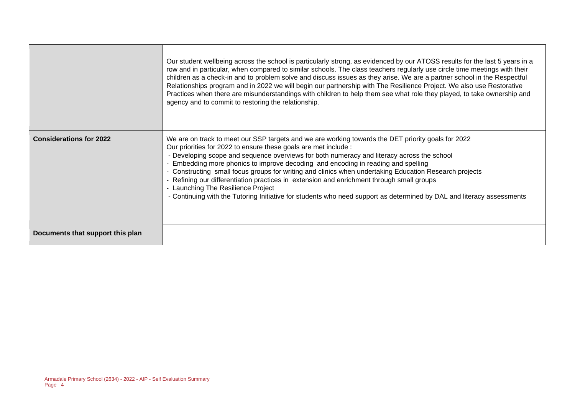|                                  | Our student wellbeing across the school is particularly strong, as evidenced by our ATOSS results for the last 5 years in a<br>row and in particular, when compared to similar schools. The class teachers regularly use circle time meetings with their<br>children as a check-in and to problem solve and discuss issues as they arise. We are a partner school in the Respectful<br>Relationships program and in 2022 we will begin our partnership with The Resilience Project. We also use Restorative<br>Practices when there are misunderstandings with children to help them see what role they played, to take ownership and<br>agency and to commit to restoring the relationship.                                 |
|----------------------------------|------------------------------------------------------------------------------------------------------------------------------------------------------------------------------------------------------------------------------------------------------------------------------------------------------------------------------------------------------------------------------------------------------------------------------------------------------------------------------------------------------------------------------------------------------------------------------------------------------------------------------------------------------------------------------------------------------------------------------|
| <b>Considerations for 2022</b>   | We are on track to meet our SSP targets and we are working towards the DET priority goals for 2022<br>Our priorities for 2022 to ensure these goals are met include :<br>- Developing scope and sequence overviews for both numeracy and literacy across the school<br>Embedding more phonics to improve decoding and encoding in reading and spelling<br>- Constructing small focus groups for writing and clinics when undertaking Education Research projects<br>- Refining our differentiation practices in extension and enrichment through small groups<br>- Launching The Resilience Project<br>- Continuing with the Tutoring Initiative for students who need support as determined by DAL and literacy assessments |
| Documents that support this plan |                                                                                                                                                                                                                                                                                                                                                                                                                                                                                                                                                                                                                                                                                                                              |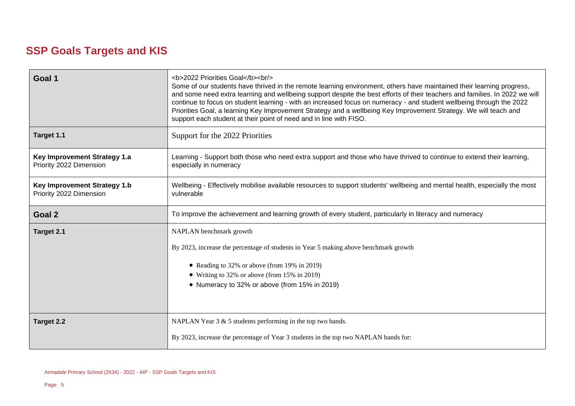## **SSP Goals Targets and KIS**

| Goal 1                                                         | <b>2022 Priorities Goal</b><br><br><br>Some of our students have thrived in the remote learning environment, others have maintained their learning progress,<br>and some need extra learning and wellbeing support despite the best efforts of their teachers and families. In 2022 we will<br>continue to focus on student learning - with an increased focus on numeracy - and student wellbeing through the 2022<br>Priorities Goal, a learning Key Improvement Strategy and a wellbeing Key Improvement Strategy. We will teach and<br>support each student at their point of need and in line with FISO. |
|----------------------------------------------------------------|---------------------------------------------------------------------------------------------------------------------------------------------------------------------------------------------------------------------------------------------------------------------------------------------------------------------------------------------------------------------------------------------------------------------------------------------------------------------------------------------------------------------------------------------------------------------------------------------------------------|
| Target 1.1                                                     | Support for the 2022 Priorities                                                                                                                                                                                                                                                                                                                                                                                                                                                                                                                                                                               |
| Key Improvement Strategy 1.a<br>Priority 2022 Dimension        | Learning - Support both those who need extra support and those who have thrived to continue to extend their learning,<br>especially in numeracy                                                                                                                                                                                                                                                                                                                                                                                                                                                               |
| <b>Key Improvement Strategy 1.b</b><br>Priority 2022 Dimension | Wellbeing - Effectively mobilise available resources to support students' wellbeing and mental health, especially the most<br>vulnerable                                                                                                                                                                                                                                                                                                                                                                                                                                                                      |
| Goal 2                                                         | To improve the achievement and learning growth of every student, particularly in literacy and numeracy                                                                                                                                                                                                                                                                                                                                                                                                                                                                                                        |
| Target 2.1                                                     | NAPLAN benchmark growth<br>By 2023, increase the percentage of students in Year 5 making above benchmark growth<br>• Reading to 32% or above (from 19% in 2019)<br>• Writing to 32% or above (from $15\%$ in 2019)<br>• Numeracy to 32% or above (from 15% in 2019)                                                                                                                                                                                                                                                                                                                                           |
| <b>Target 2.2</b>                                              | NAPLAN Year $3 \& 5$ students performing in the top two bands.<br>By 2023, increase the percentage of Year 3 students in the top two NAPLAN bands for:                                                                                                                                                                                                                                                                                                                                                                                                                                                        |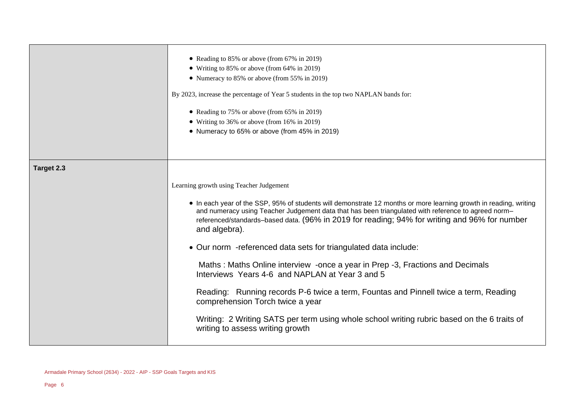|            | • Reading to 85% or above (from 67% in 2019)<br>• Writing to 85% or above (from 64% in 2019)<br>• Numeracy to 85% or above (from 55% in 2019)<br>By 2023, increase the percentage of Year 5 students in the top two NAPLAN bands for:<br>• Reading to 75% or above (from 65% in 2019)<br>• Writing to 36% or above (from 16% in 2019)<br>• Numeracy to 65% or above (from 45% in 2019)                                                                                                                                                                                                                                                                                                                                                                                                                                                                      |
|------------|-------------------------------------------------------------------------------------------------------------------------------------------------------------------------------------------------------------------------------------------------------------------------------------------------------------------------------------------------------------------------------------------------------------------------------------------------------------------------------------------------------------------------------------------------------------------------------------------------------------------------------------------------------------------------------------------------------------------------------------------------------------------------------------------------------------------------------------------------------------|
| Target 2.3 | Learning growth using Teacher Judgement<br>• In each year of the SSP, 95% of students will demonstrate 12 months or more learning growth in reading, writing<br>and numeracy using Teacher Judgement data that has been triangulated with reference to agreed norm-<br>referenced/standards-based data. (96% in 2019 for reading; 94% for writing and 96% for number<br>and algebra).<br>• Our norm -referenced data sets for triangulated data include:<br>Maths: Maths Online interview -once a year in Prep -3, Fractions and Decimals<br>Interviews Years 4-6 and NAPLAN at Year 3 and 5<br>Reading: Running records P-6 twice a term, Fountas and Pinnell twice a term, Reading<br>comprehension Torch twice a year<br>Writing: 2 Writing SATS per term using whole school writing rubric based on the 6 traits of<br>writing to assess writing growth |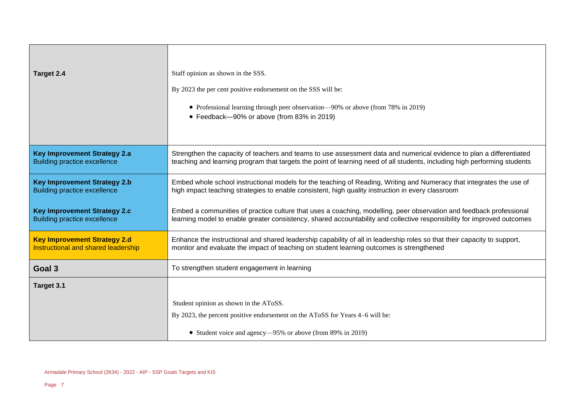| Target 2.4                                                                 | Staff opinion as shown in the SSS.                                                                                                                                                                                                                |
|----------------------------------------------------------------------------|---------------------------------------------------------------------------------------------------------------------------------------------------------------------------------------------------------------------------------------------------|
|                                                                            | By 2023 the per cent positive endorsement on the SSS will be:                                                                                                                                                                                     |
|                                                                            | • Professional learning through peer observation—90% or above (from 78% in 2019)<br>• Feedback-90% or above (from 83% in 2019)                                                                                                                    |
| <b>Key Improvement Strategy 2.a</b><br><b>Building practice excellence</b> | Strengthen the capacity of teachers and teams to use assessment data and numerical evidence to plan a differentiated<br>teaching and learning program that targets the point of learning need of all students, including high performing students |
| <b>Key Improvement Strategy 2.b</b><br><b>Building practice excellence</b> | Embed whole school instructional models for the teaching of Reading, Writing and Numeracy that integrates the use of<br>high impact teaching strategies to enable consistent, high quality instruction in every classroom                         |
| <b>Key Improvement Strategy 2.c</b><br><b>Building practice excellence</b> | Embed a communities of practice culture that uses a coaching, modelling, peer observation and feedback professional<br>learning model to enable greater consistency, shared accountability and collective responsibility for improved outcomes    |
| <b>Key Improvement Strategy 2.d</b><br>Instructional and shared leadership | Enhance the instructional and shared leadership capability of all in leadership roles so that their capacity to support,<br>monitor and evaluate the impact of teaching on student learning outcomes is strengthened                              |
| Goal 3                                                                     | To strengthen student engagement in learning                                                                                                                                                                                                      |
| Target 3.1                                                                 |                                                                                                                                                                                                                                                   |
|                                                                            | Student opinion as shown in the AToSS.                                                                                                                                                                                                            |
|                                                                            | By 2023, the percent positive endorsement on the AToSS for Years 4–6 will be:                                                                                                                                                                     |
|                                                                            | • Student voice and agency—95% or above (from 89% in 2019)                                                                                                                                                                                        |

 $\overline{a}$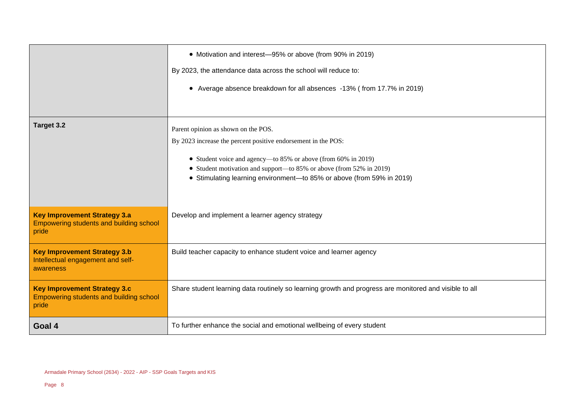|                                                                                         | • Motivation and interest-95% or above (from 90% in 2019)<br>By 2023, the attendance data across the school will reduce to:<br>• Average absence breakdown for all absences -13% (from 17.7% in 2019)                                                                                                                 |
|-----------------------------------------------------------------------------------------|-----------------------------------------------------------------------------------------------------------------------------------------------------------------------------------------------------------------------------------------------------------------------------------------------------------------------|
| Target 3.2                                                                              | Parent opinion as shown on the POS.<br>By 2023 increase the percent positive endorsement in the POS:<br>• Student voice and agency—to 85% or above (from 60% in 2019)<br>• Student motivation and support—to 85% or above (from 52% in 2019)<br>• Stimulating learning environment-to 85% or above (from 59% in 2019) |
| <b>Key Improvement Strategy 3.a</b><br>Empowering students and building school<br>pride | Develop and implement a learner agency strategy                                                                                                                                                                                                                                                                       |
| <b>Key Improvement Strategy 3.b</b><br>Intellectual engagement and self-<br>awareness   | Build teacher capacity to enhance student voice and learner agency                                                                                                                                                                                                                                                    |
| <b>Key Improvement Strategy 3.c</b><br>Empowering students and building school<br>pride | Share student learning data routinely so learning growth and progress are monitored and visible to all                                                                                                                                                                                                                |
| Goal 4                                                                                  | To further enhance the social and emotional wellbeing of every student                                                                                                                                                                                                                                                |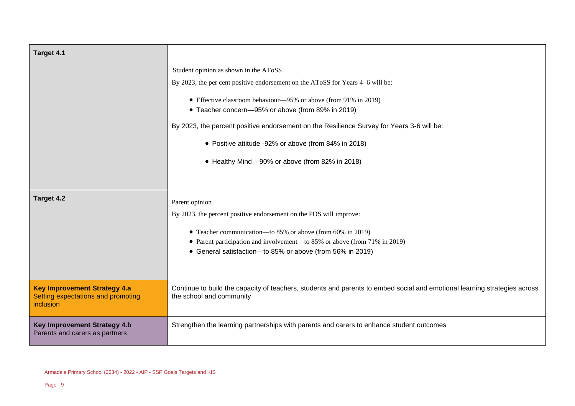| Target 4.1                                                                             |                                                                                                                                                                                                                                                                                                                                                                                                                                                          |
|----------------------------------------------------------------------------------------|----------------------------------------------------------------------------------------------------------------------------------------------------------------------------------------------------------------------------------------------------------------------------------------------------------------------------------------------------------------------------------------------------------------------------------------------------------|
|                                                                                        | Student opinion as shown in the AToSS<br>By 2023, the per cent positive endorsement on the AToSS for Years 4–6 will be:<br>• Effective classroom behaviour—95% or above (from 91% in 2019)<br>• Teacher concern-95% or above (from 89% in 2019)<br>By 2023, the percent positive endorsement on the Resilience Survey for Years 3-6 will be:<br>• Positive attitude -92% or above (from 84% in 2018)<br>• Healthy Mind – 90% or above (from 82% in 2018) |
| Target 4.2                                                                             | Parent opinion<br>By 2023, the percent positive endorsement on the POS will improve:<br>• Teacher communication-to 85% or above (from 60% in 2019)<br>• Parent participation and involvement—to 85% or above (from 71% in 2019)<br>• General satisfaction-to 85% or above (from 56% in 2019)                                                                                                                                                             |
| <b>Key Improvement Strategy 4.a</b><br>Setting expectations and promoting<br>inclusion | Continue to build the capacity of teachers, students and parents to embed social and emotional learning strategies across<br>the school and community                                                                                                                                                                                                                                                                                                    |
| <b>Key Improvement Strategy 4.b</b><br>Parents and carers as partners                  | Strengthen the learning partnerships with parents and carers to enhance student outcomes                                                                                                                                                                                                                                                                                                                                                                 |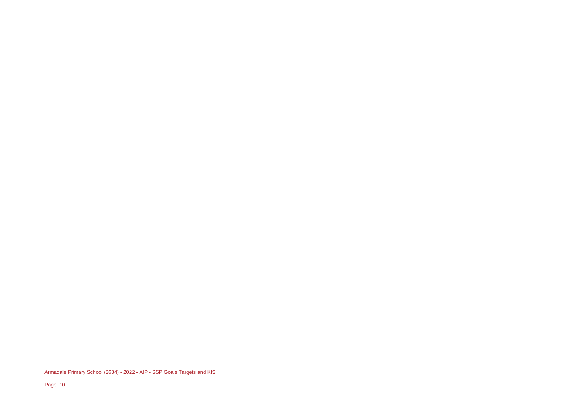Armadale Primary School (2634) - 2022 - AIP - SSP Goals Targets and KIS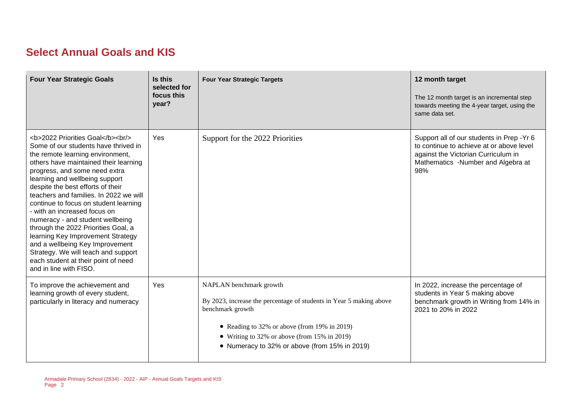## **Select Annual Goals and KIS**

| <b>Four Year Strategic Goals</b>                                                                                                                                                              | Is this<br>selected for<br>focus this<br>year? | <b>Four Year Strategic Targets</b>                                                                                                                                                                                                                                  | 12 month target<br>The 12 month target is an incremental step<br>towards meeting the 4-year target, using the<br>same data set.                                            |
|-----------------------------------------------------------------------------------------------------------------------------------------------------------------------------------------------|------------------------------------------------|---------------------------------------------------------------------------------------------------------------------------------------------------------------------------------------------------------------------------------------------------------------------|----------------------------------------------------------------------------------------------------------------------------------------------------------------------------|
| <b>2022 Priorities Goal</b><br><br><br>Some of our students have thrived in<br>the remote learning environment,<br>others have maintained their learning<br>progress, and some need extra<br> | Yes                                            | Support for the 2022 Priorities                                                                                                                                                                                                                                     | Support all of our students in Prep - Yr 6<br>to continue to achieve at or above level<br>against the Victorian Curriculum in<br>Mathematics -Number and Algebra at<br>98% |
| To improve the achievement and<br>learning growth of every student,<br>particularly in literacy and numeracy                                                                                  | Yes                                            | NAPLAN benchmark growth<br>By 2023, increase the percentage of students in Year 5 making above<br>benchmark growth<br>• Reading to 32% or above (from 19% in 2019)<br>• Writing to 32% or above (from 15% in 2019)<br>• Numeracy to 32% or above (from 15% in 2019) | In 2022, increase the percentage of<br>students in Year 5 making above<br>benchmark growth in Writing from 14% in<br>2021 to 20% in 2022                                   |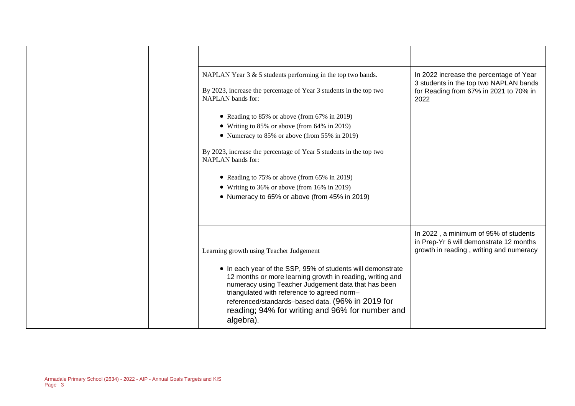|  | NAPLAN Year $3 \& 5$ students performing in the top two bands.<br>By 2023, increase the percentage of Year 3 students in the top two<br>NAPLAN bands for:                                                                                                                                                                                                                                      | In 2022 increase the percentage of Year<br>3 students in the top two NAPLAN bands<br>for Reading from 67% in 2021 to 70% in<br>2022 |
|--|------------------------------------------------------------------------------------------------------------------------------------------------------------------------------------------------------------------------------------------------------------------------------------------------------------------------------------------------------------------------------------------------|-------------------------------------------------------------------------------------------------------------------------------------|
|  | • Reading to 85% or above (from 67% in 2019)<br>• Writing to 85% or above (from 64% in 2019)<br>• Numeracy to 85% or above (from 55% in 2019)<br>By 2023, increase the percentage of Year 5 students in the top two<br>NAPLAN bands for:<br>• Reading to 75% or above (from 65% in 2019)<br>• Writing to 36% or above (from 16% in 2019)<br>• Numeracy to 65% or above (from 45% in 2019)      |                                                                                                                                     |
|  | Learning growth using Teacher Judgement<br>• In each year of the SSP, 95% of students will demonstrate<br>12 months or more learning growth in reading, writing and<br>numeracy using Teacher Judgement data that has been<br>triangulated with reference to agreed norm-<br>referenced/standards-based data. (96% in 2019 for<br>reading; 94% for writing and 96% for number and<br>algebra). | In 2022, a minimum of 95% of students<br>in Prep-Yr 6 will demonstrate 12 months<br>growth in reading, writing and numeracy         |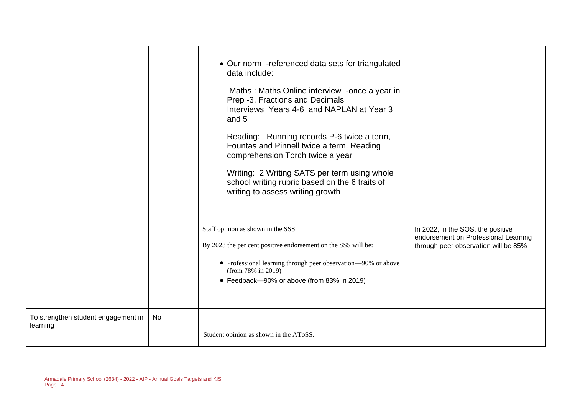|                                                 |    | • Our norm -referenced data sets for triangulated<br>data include:<br>Maths: Maths Online interview -once a year in<br>Prep -3, Fractions and Decimals<br>Interviews Years 4-6 and NAPLAN at Year 3<br>and 5<br>Reading: Running records P-6 twice a term,<br>Fountas and Pinnell twice a term, Reading<br>comprehension Torch twice a year<br>Writing: 2 Writing SATS per term using whole<br>school writing rubric based on the 6 traits of<br>writing to assess writing growth |                                                                                                                   |
|-------------------------------------------------|----|-----------------------------------------------------------------------------------------------------------------------------------------------------------------------------------------------------------------------------------------------------------------------------------------------------------------------------------------------------------------------------------------------------------------------------------------------------------------------------------|-------------------------------------------------------------------------------------------------------------------|
|                                                 |    | Staff opinion as shown in the SSS.<br>By 2023 the per cent positive endorsement on the SSS will be:<br>• Professional learning through peer observation—90% or above<br>(from 78% in 2019)<br>• Feedback-90% or above (from 83% in 2019)                                                                                                                                                                                                                                          | In 2022, in the SOS, the positive<br>endorsement on Professional Learning<br>through peer observation will be 85% |
| To strengthen student engagement in<br>learning | No | Student opinion as shown in the AToSS.                                                                                                                                                                                                                                                                                                                                                                                                                                            |                                                                                                                   |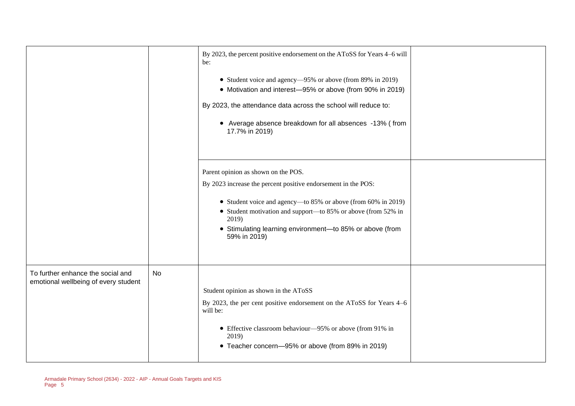|                                                                           |           | By 2023, the percent positive endorsement on the AToSS for Years 4–6 will<br>be:<br>• Student voice and agency—95% or above (from 89% in 2019)<br>• Motivation and interest-95% or above (from 90% in 2019)<br>By 2023, the attendance data across the school will reduce to:<br>• Average absence breakdown for all absences -13% (from<br>17.7% in 2019) |  |
|---------------------------------------------------------------------------|-----------|------------------------------------------------------------------------------------------------------------------------------------------------------------------------------------------------------------------------------------------------------------------------------------------------------------------------------------------------------------|--|
|                                                                           |           | Parent opinion as shown on the POS.<br>By 2023 increase the percent positive endorsement in the POS:<br>• Student voice and agency—to 85% or above (from 60% in 2019)<br>• Student motivation and support—to 85% or above (from 52% in<br>2019)<br>• Stimulating learning environment-to 85% or above (from<br>59% in 2019)                                |  |
| To further enhance the social and<br>emotional wellbeing of every student | <b>No</b> | Student opinion as shown in the AToSS<br>By 2023, the per cent positive endorsement on the AToSS for Years 4-6<br>will be:<br>• Effective classroom behaviour—95% or above (from 91% in<br>2019)<br>• Teacher concern-95% or above (from 89% in 2019)                                                                                                      |  |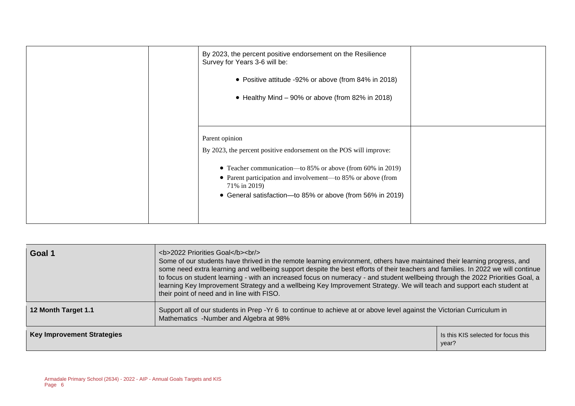| By 2023, the percent positive endorsement on the Resilience<br>Survey for Years 3-6 will be:<br>• Positive attitude -92% or above (from 84% in 2018)<br>• Healthy Mind – 90% or above (from 82% in 2018)                                                                                        |  |
|-------------------------------------------------------------------------------------------------------------------------------------------------------------------------------------------------------------------------------------------------------------------------------------------------|--|
| Parent opinion<br>By 2023, the percent positive endorsement on the POS will improve:<br>• Teacher communication—to 85% or above (from 60% in 2019)<br>• Parent participation and involvement—to 85% or above (from<br>71% in 2019)<br>• General satisfaction-to 85% or above (from 56% in 2019) |  |

| Goal 1                            | <b>2022 Priorities Goal</b><br><br><br>Some of our students have thrived in the remote learning environment, others have maintained their learning progress, and<br>some need extra learning and wellbeing support despite the best efforts of their teachers and families. In 2022 we will continue<br>to focus on student learning - with an increased focus on numeracy - and student wellbeing through the 2022 Priorities Goal, a<br>learning Key Improvement Strategy and a wellbeing Key Improvement Strategy. We will teach and support each student at<br>their point of need and in line with FISO. |                                              |  |  |
|-----------------------------------|---------------------------------------------------------------------------------------------------------------------------------------------------------------------------------------------------------------------------------------------------------------------------------------------------------------------------------------------------------------------------------------------------------------------------------------------------------------------------------------------------------------------------------------------------------------------------------------------------------------|----------------------------------------------|--|--|
| 12 Month Target 1.1               | Support all of our students in Prep -Yr 6 to continue to achieve at or above level against the Victorian Curriculum in<br>Mathematics -Number and Algebra at 98%                                                                                                                                                                                                                                                                                                                                                                                                                                              |                                              |  |  |
| <b>Key Improvement Strategies</b> |                                                                                                                                                                                                                                                                                                                                                                                                                                                                                                                                                                                                               | Is this KIS selected for focus this<br>year? |  |  |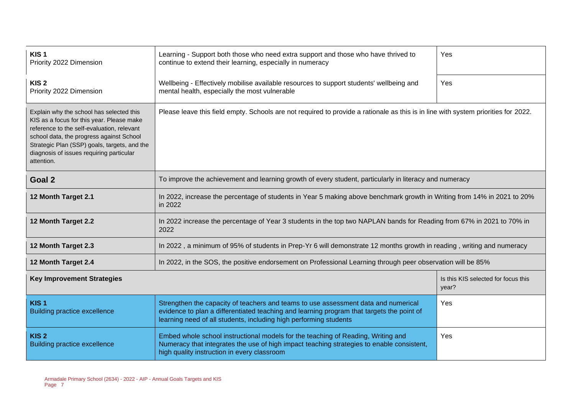| KIS <sub>1</sub><br>Priority 2022 Dimension                                                                                                                                                                                                                                                                     | Learning - Support both those who need extra support and those who have thrived to<br>continue to extend their learning, especially in numeracy | Yes                                          |  |  |
|-----------------------------------------------------------------------------------------------------------------------------------------------------------------------------------------------------------------------------------------------------------------------------------------------------------------|-------------------------------------------------------------------------------------------------------------------------------------------------|----------------------------------------------|--|--|
| KIS <sub>2</sub><br>Priority 2022 Dimension                                                                                                                                                                                                                                                                     | Wellbeing - Effectively mobilise available resources to support students' wellbeing and<br>mental health, especially the most vulnerable        | Yes                                          |  |  |
| Explain why the school has selected this<br>KIS as a focus for this year. Please make<br>reference to the self-evaluation, relevant<br>school data, the progress against School<br>Strategic Plan (SSP) goals, targets, and the<br>diagnosis of issues requiring particular<br>attention.                       | Please leave this field empty. Schools are not required to provide a rationale as this is in line with system priorities for 2022.              |                                              |  |  |
| Goal 2<br>To improve the achievement and learning growth of every student, particularly in literacy and numeracy                                                                                                                                                                                                |                                                                                                                                                 |                                              |  |  |
| 12 Month Target 2.1                                                                                                                                                                                                                                                                                             | In 2022, increase the percentage of students in Year 5 making above benchmark growth in Writing from 14% in 2021 to 20%<br>in 2022              |                                              |  |  |
| 12 Month Target 2.2<br>In 2022 increase the percentage of Year 3 students in the top two NAPLAN bands for Reading from 67% in 2021 to 70% in<br>2022                                                                                                                                                            |                                                                                                                                                 |                                              |  |  |
| 12 Month Target 2.3                                                                                                                                                                                                                                                                                             | In 2022, a minimum of 95% of students in Prep-Yr 6 will demonstrate 12 months growth in reading, writing and numeracy                           |                                              |  |  |
| 12 Month Target 2.4                                                                                                                                                                                                                                                                                             | In 2022, in the SOS, the positive endorsement on Professional Learning through peer observation will be 85%                                     |                                              |  |  |
| <b>Key Improvement Strategies</b>                                                                                                                                                                                                                                                                               |                                                                                                                                                 | Is this KIS selected for focus this<br>year? |  |  |
| KIS <sub>1</sub><br>Strengthen the capacity of teachers and teams to use assessment data and numerical<br>evidence to plan a differentiated teaching and learning program that targets the point of<br><b>Building practice excellence</b><br>learning need of all students, including high performing students |                                                                                                                                                 | Yes                                          |  |  |
| KIS <sub>2</sub><br>Embed whole school instructional models for the teaching of Reading, Writing and<br>Numeracy that integrates the use of high impact teaching strategies to enable consistent,<br><b>Building practice excellence</b><br>high quality instruction in every classroom                         |                                                                                                                                                 | Yes                                          |  |  |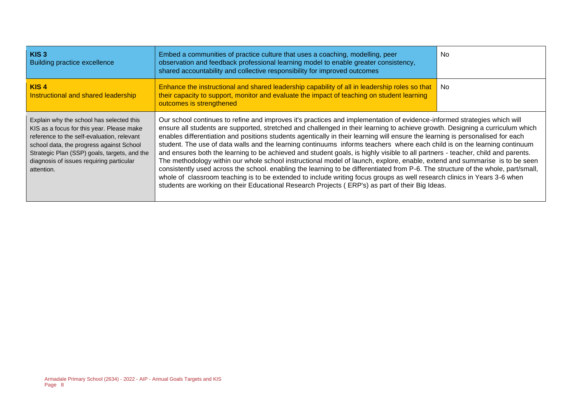| KIS <sub>3</sub><br><b>Building practice excellence</b>                                                                                                                                                                                                                                   | Embed a communities of practice culture that uses a coaching, modelling, peer<br>observation and feedback professional learning model to enable greater consistency,<br>shared accountability and collective responsibility for improved outcomes                                                                                                                                                                                                                                                                                                                                                                                                                                                                                                                                                                                                                                                                                                                                                                                                                                                                                                             | No. |
|-------------------------------------------------------------------------------------------------------------------------------------------------------------------------------------------------------------------------------------------------------------------------------------------|---------------------------------------------------------------------------------------------------------------------------------------------------------------------------------------------------------------------------------------------------------------------------------------------------------------------------------------------------------------------------------------------------------------------------------------------------------------------------------------------------------------------------------------------------------------------------------------------------------------------------------------------------------------------------------------------------------------------------------------------------------------------------------------------------------------------------------------------------------------------------------------------------------------------------------------------------------------------------------------------------------------------------------------------------------------------------------------------------------------------------------------------------------------|-----|
| KIS <sub>4</sub><br>Instructional and shared leadership                                                                                                                                                                                                                                   | Enhance the instructional and shared leadership capability of all in leadership roles so that<br>their capacity to support, monitor and evaluate the impact of teaching on student learning<br>outcomes is strengthened                                                                                                                                                                                                                                                                                                                                                                                                                                                                                                                                                                                                                                                                                                                                                                                                                                                                                                                                       | No. |
| Explain why the school has selected this<br>KIS as a focus for this year. Please make<br>reference to the self-evaluation, relevant<br>school data, the progress against School<br>Strategic Plan (SSP) goals, targets, and the<br>diagnosis of issues requiring particular<br>attention. | Our school continues to refine and improves it's practices and implementation of evidence-informed strategies which will<br>ensure all students are supported, stretched and challenged in their learning to achieve growth. Designing a curriculum which<br>enables differentiation and positions students agentically in their learning will ensure the learning is personalised for each<br>student. The use of data walls and the learning continuums informs teachers where each child is on the learning continuum<br>and ensures both the learning to be achieved and student goals, is highly visible to all partners - teacher, child and parents.<br>The methodology within our whole school instructional model of launch, explore, enable, extend and summarise is to be seen<br>consistently used across the school. enabling the learning to be differentiated from P-6. The structure of the whole, part/small,<br>whole of classroom teaching is to be extended to include writing focus groups as well research clinics in Years 3-6 when<br>students are working on their Educational Research Projects (ERP's) as part of their Big Ideas. |     |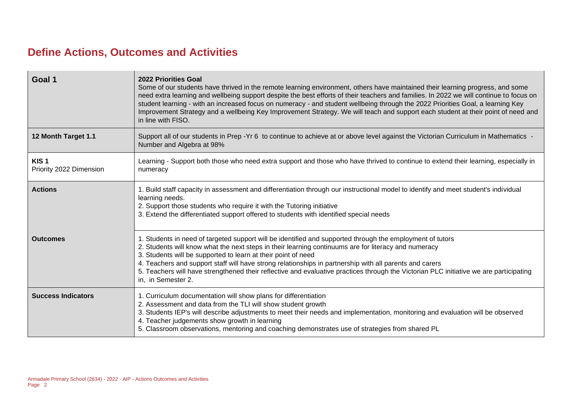## **Define Actions, Outcomes and Activities**

| Goal 1                                      | <b>2022 Priorities Goal</b><br>Some of our students have thrived in the remote learning environment, others have maintained their learning progress, and some<br>need extra learning and wellbeing support despite the best efforts of their teachers and families. In 2022 we will continue to focus on<br>student learning - with an increased focus on numeracy - and student wellbeing through the 2022 Priorities Goal, a learning Key<br>Improvement Strategy and a wellbeing Key Improvement Strategy. We will teach and support each student at their point of need and<br>in line with FISO. |
|---------------------------------------------|-------------------------------------------------------------------------------------------------------------------------------------------------------------------------------------------------------------------------------------------------------------------------------------------------------------------------------------------------------------------------------------------------------------------------------------------------------------------------------------------------------------------------------------------------------------------------------------------------------|
| 12 Month Target 1.1                         | Support all of our students in Prep - Yr 6 to continue to achieve at or above level against the Victorian Curriculum in Mathematics -<br>Number and Algebra at 98%                                                                                                                                                                                                                                                                                                                                                                                                                                    |
| KIS <sub>1</sub><br>Priority 2022 Dimension | Learning - Support both those who need extra support and those who have thrived to continue to extend their learning, especially in<br>numeracy                                                                                                                                                                                                                                                                                                                                                                                                                                                       |
| <b>Actions</b>                              | 1. Build staff capacity in assessment and differentiation through our instructional model to identify and meet student's individual<br>learning needs.<br>2. Support those students who require it with the Tutoring initiative<br>3. Extend the differentiated support offered to students with identified special needs                                                                                                                                                                                                                                                                             |
| <b>Outcomes</b>                             | 1. Students in need of targeted support will be identified and supported through the employment of tutors<br>2. Students will know what the next steps in their learning continuums are for literacy and numeracy<br>3. Students will be supported to learn at their point of need<br>4. Teachers and support staff will have strong relationships in partnership with all parents and carers<br>5. Teachers will have strengthened their reflective and evaluative practices through the Victorian PLC initiative we are participating<br>in, in Semester 2.                                         |
| <b>Success Indicators</b>                   | 1. Curriculum documentation will show plans for differentiation<br>2. Assessment and data from the TLI will show student growth<br>3. Students IEP's will describe adjustments to meet their needs and implementation, monitoring and evaluation will be observed<br>4. Teacher judgements show growth in learning<br>5. Classroom observations, mentoring and coaching demonstrates use of strategies from shared PL                                                                                                                                                                                 |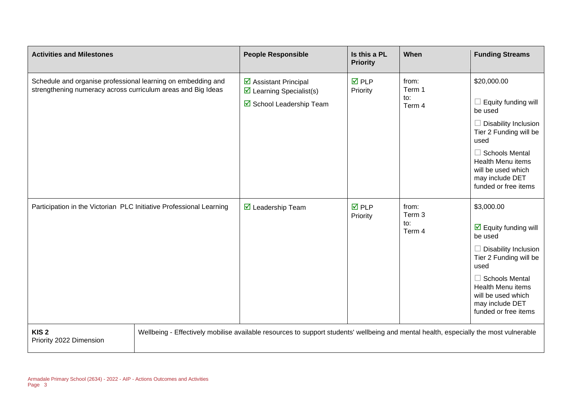| <b>Activities and Milestones</b>                                                                                             | <b>People Responsible</b>                                                                                                             | Is this a PL<br><b>Priority</b> | When                             | <b>Funding Streams</b>                                                                                                                                                                                                                               |
|------------------------------------------------------------------------------------------------------------------------------|---------------------------------------------------------------------------------------------------------------------------------------|---------------------------------|----------------------------------|------------------------------------------------------------------------------------------------------------------------------------------------------------------------------------------------------------------------------------------------------|
| Schedule and organise professional learning on embedding and<br>strengthening numeracy across curriculum areas and Big Ideas | ☑ Assistant Principal<br>$\triangleright$ Learning Specialist(s)<br>School Leadership Team                                            | $\overline{M}$ PLP<br>Priority  | from:<br>Term 1<br>to:<br>Term 4 | \$20,000.00<br>$\Box$ Equity funding will<br>be used<br>$\Box$ Disability Inclusion<br>Tier 2 Funding will be<br>used<br>$\Box$ Schools Mental<br>Health Menu items<br>will be used which<br>may include DET<br>funded or free items                 |
| Participation in the Victorian PLC Initiative Professional Learning                                                          | ☑ Leadership Team                                                                                                                     | $\overline{M}$ PLP<br>Priority  | from:<br>Term 3<br>to:<br>Term 4 | \$3,000.00<br>$\overline{\mathbf{y}}$ Equity funding will<br>be used<br>$\Box$ Disability Inclusion<br>Tier 2 Funding will be<br>used<br>$\Box$ Schools Mental<br>Health Menu items<br>will be used which<br>may include DET<br>funded or free items |
| KIS <sub>2</sub><br>Priority 2022 Dimension                                                                                  | Wellbeing - Effectively mobilise available resources to support students' wellbeing and mental health, especially the most vulnerable |                                 |                                  |                                                                                                                                                                                                                                                      |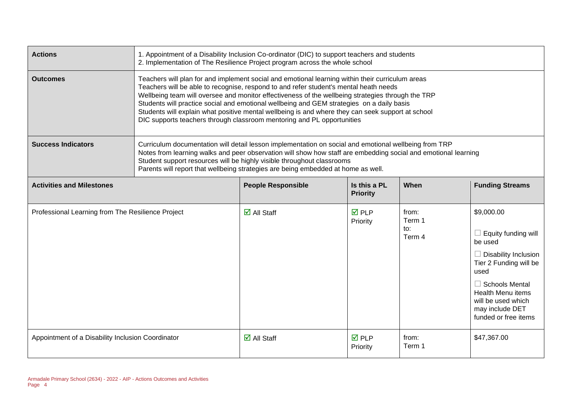| <b>Actions</b>                                    | 1. Appointment of a Disability Inclusion Co-ordinator (DIC) to support teachers and students<br>2. Implementation of The Resilience Project program across the whole school                                                                                                                                                                                                                                                                                                                                                                                                |                                   |                                 |                                  |                                                                                                                                                                                                                              |
|---------------------------------------------------|----------------------------------------------------------------------------------------------------------------------------------------------------------------------------------------------------------------------------------------------------------------------------------------------------------------------------------------------------------------------------------------------------------------------------------------------------------------------------------------------------------------------------------------------------------------------------|-----------------------------------|---------------------------------|----------------------------------|------------------------------------------------------------------------------------------------------------------------------------------------------------------------------------------------------------------------------|
| <b>Outcomes</b>                                   | Teachers will plan for and implement social and emotional learning within their curriculum areas<br>Teachers will be able to recognise, respond to and refer student's mental heath needs<br>Wellbeing team will oversee and monitor effectiveness of the wellbeing strategies through the TRP<br>Students will practice social and emotional wellbeing and GEM strategies on a daily basis<br>Students will explain what positive mental wellbeing is and where they can seek support at school<br>DIC supports teachers through classroom mentoring and PL opportunities |                                   |                                 |                                  |                                                                                                                                                                                                                              |
| <b>Success Indicators</b>                         | Curriculum documentation will detail lesson implementation on social and emotional wellbeing from TRP<br>Notes from learning walks and peer observation will show how staff are embedding social and emotional learning<br>Student support resources will be highly visible throughout classrooms<br>Parents will report that wellbeing strategies are being embedded at home as well.                                                                                                                                                                                     |                                   |                                 |                                  |                                                                                                                                                                                                                              |
| <b>Activities and Milestones</b>                  |                                                                                                                                                                                                                                                                                                                                                                                                                                                                                                                                                                            | <b>People Responsible</b>         | Is this a PL<br><b>Priority</b> | When                             | <b>Funding Streams</b>                                                                                                                                                                                                       |
| Professional Learning from The Resilience Project |                                                                                                                                                                                                                                                                                                                                                                                                                                                                                                                                                                            | $\overline{\Box}$ All Staff       | <b>☑</b> PLP<br>Priority        | from:<br>Term 1<br>to:<br>Term 4 | \$9,000.00<br>Equity funding will<br>be used<br><b>Disability Inclusion</b><br>Tier 2 Funding will be<br>used<br>$\Box$ Schools Mental<br>Health Menu items<br>will be used which<br>may include DET<br>funded or free items |
| Appointment of a Disability Inclusion Coordinator |                                                                                                                                                                                                                                                                                                                                                                                                                                                                                                                                                                            | $\overline{\mathbf{z}}$ All Staff | <b>☑</b> PLP<br>Priority        | from:<br>Term 1                  | \$47,367.00                                                                                                                                                                                                                  |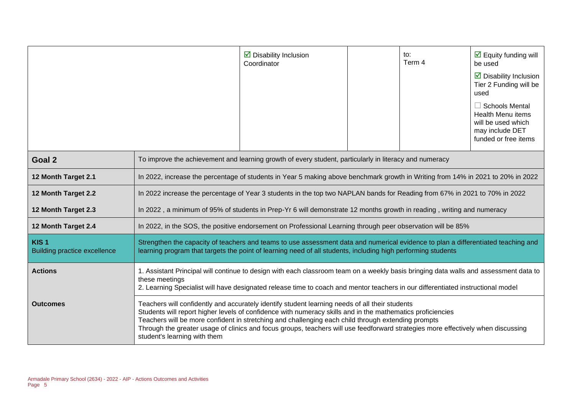|                                                         |                                                                                                                                                                                                                                                                                           | $\triangleright$ Disability Inclusion<br>Coordinator                                                                                                                                                                                                                                                                                                                                                                                                   |  | to:<br>Term 4 | $\boxed{\triangle}$ Equity funding will<br>be used<br>$\triangleright$ Disability Inclusion<br>Tier 2 Funding will be<br>used<br>$\Box$ Schools Mental<br><b>Health Menu items</b><br>will be used which<br>may include DET<br>funded or free items |
|---------------------------------------------------------|-------------------------------------------------------------------------------------------------------------------------------------------------------------------------------------------------------------------------------------------------------------------------------------------|--------------------------------------------------------------------------------------------------------------------------------------------------------------------------------------------------------------------------------------------------------------------------------------------------------------------------------------------------------------------------------------------------------------------------------------------------------|--|---------------|-----------------------------------------------------------------------------------------------------------------------------------------------------------------------------------------------------------------------------------------------------|
| Goal 2                                                  |                                                                                                                                                                                                                                                                                           | To improve the achievement and learning growth of every student, particularly in literacy and numeracy                                                                                                                                                                                                                                                                                                                                                 |  |               |                                                                                                                                                                                                                                                     |
| 12 Month Target 2.1                                     |                                                                                                                                                                                                                                                                                           | In 2022, increase the percentage of students in Year 5 making above benchmark growth in Writing from 14% in 2021 to 20% in 2022                                                                                                                                                                                                                                                                                                                        |  |               |                                                                                                                                                                                                                                                     |
| 12 Month Target 2.2                                     | In 2022 increase the percentage of Year 3 students in the top two NAPLAN bands for Reading from 67% in 2021 to 70% in 2022                                                                                                                                                                |                                                                                                                                                                                                                                                                                                                                                                                                                                                        |  |               |                                                                                                                                                                                                                                                     |
| 12 Month Target 2.3                                     | In 2022, a minimum of 95% of students in Prep-Yr 6 will demonstrate 12 months growth in reading, writing and numeracy                                                                                                                                                                     |                                                                                                                                                                                                                                                                                                                                                                                                                                                        |  |               |                                                                                                                                                                                                                                                     |
| 12 Month Target 2.4                                     | In 2022, in the SOS, the positive endorsement on Professional Learning through peer observation will be 85%                                                                                                                                                                               |                                                                                                                                                                                                                                                                                                                                                                                                                                                        |  |               |                                                                                                                                                                                                                                                     |
| KIS <sub>1</sub><br><b>Building practice excellence</b> | Strengthen the capacity of teachers and teams to use assessment data and numerical evidence to plan a differentiated teaching and<br>learning program that targets the point of learning need of all students, including high performing students                                         |                                                                                                                                                                                                                                                                                                                                                                                                                                                        |  |               |                                                                                                                                                                                                                                                     |
| <b>Actions</b>                                          | 1. Assistant Principal will continue to design with each classroom team on a weekly basis bringing data walls and assessment data to<br>these meetings<br>2. Learning Specialist will have designated release time to coach and mentor teachers in our differentiated instructional model |                                                                                                                                                                                                                                                                                                                                                                                                                                                        |  |               |                                                                                                                                                                                                                                                     |
| <b>Outcomes</b>                                         | student's learning with them                                                                                                                                                                                                                                                              | Teachers will confidently and accurately identify student learning needs of all their students<br>Students will report higher levels of confidence with numeracy skills and in the mathematics proficiencies<br>Teachers will be more confident in stretching and challenging each child through extending prompts<br>Through the greater usage of clinics and focus groups, teachers will use feedforward strategies more effectively when discussing |  |               |                                                                                                                                                                                                                                                     |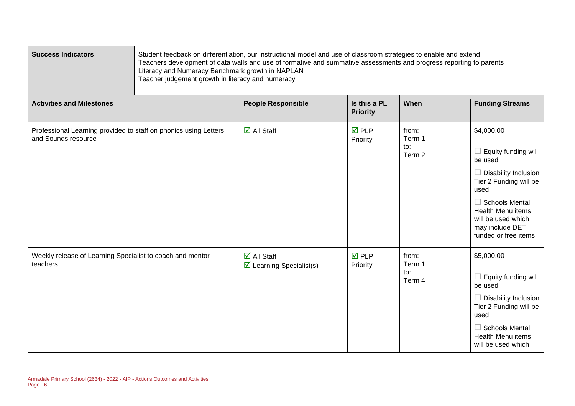| <b>Success Indicators</b>                                                               | Student feedback on differentiation, our instructional model and use of classroom strategies to enable and extend<br>Teachers development of data walls and use of formative and summative assessments and progress reporting to parents<br>Literacy and Numeracy Benchmark growth in NAPLAN<br>Teacher judgement growth in literacy and numeracy |                                                                              |                                 |                                  |                                                                                                                                                                                                                                      |
|-----------------------------------------------------------------------------------------|---------------------------------------------------------------------------------------------------------------------------------------------------------------------------------------------------------------------------------------------------------------------------------------------------------------------------------------------------|------------------------------------------------------------------------------|---------------------------------|----------------------------------|--------------------------------------------------------------------------------------------------------------------------------------------------------------------------------------------------------------------------------------|
| <b>Activities and Milestones</b>                                                        |                                                                                                                                                                                                                                                                                                                                                   | <b>People Responsible</b>                                                    | Is this a PL<br><b>Priority</b> | When                             | <b>Funding Streams</b>                                                                                                                                                                                                               |
| Professional Learning provided to staff on phonics using Letters<br>and Sounds resource |                                                                                                                                                                                                                                                                                                                                                   | $\overline{\blacksquare}$ All Staff                                          | $\nabla$ PLP<br>Priority        | from:<br>Term 1<br>to:<br>Term 2 | \$4,000.00<br>$\Box$ Equity funding will<br>be used<br>$\Box$ Disability Inclusion<br>Tier 2 Funding will be<br>used<br>$\Box$ Schools Mental<br>Health Menu items<br>will be used which<br>may include DET<br>funded or free items  |
| Weekly release of Learning Specialist to coach and mentor<br>teachers                   |                                                                                                                                                                                                                                                                                                                                                   | $\overline{\mathsf{M}}$ All Staff<br>$\triangleright$ Learning Specialist(s) | <b>☑</b> PLP<br>Priority        | from:<br>Term 1<br>to:<br>Term 4 | \$5,000.00<br>Equity funding will<br>$\overline{\phantom{a}}$<br>be used<br><b>Disability Inclusion</b><br>$\mathbf{1}$<br>Tier 2 Funding will be<br>used<br>$\Box$ Schools Mental<br><b>Health Menu items</b><br>will be used which |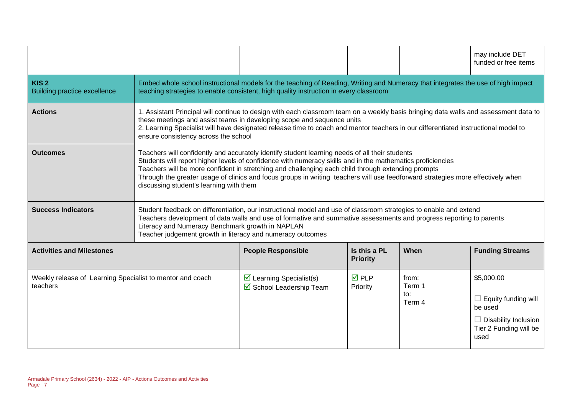|                                                                       |                                                                                                                                                                                                                                                                                                                                                                                                                                                                                                  |                                                                                                                                                                                                                           |                                 |                                  | may include DET<br>funded or free items                                                                              |
|-----------------------------------------------------------------------|--------------------------------------------------------------------------------------------------------------------------------------------------------------------------------------------------------------------------------------------------------------------------------------------------------------------------------------------------------------------------------------------------------------------------------------------------------------------------------------------------|---------------------------------------------------------------------------------------------------------------------------------------------------------------------------------------------------------------------------|---------------------------------|----------------------------------|----------------------------------------------------------------------------------------------------------------------|
| KIS <sub>2</sub><br><b>Building practice excellence</b>               |                                                                                                                                                                                                                                                                                                                                                                                                                                                                                                  | Embed whole school instructional models for the teaching of Reading, Writing and Numeracy that integrates the use of high impact<br>teaching strategies to enable consistent, high quality instruction in every classroom |                                 |                                  |                                                                                                                      |
| <b>Actions</b>                                                        | 1. Assistant Principal will continue to design with each classroom team on a weekly basis bringing data walls and assessment data to<br>these meetings and assist teams in developing scope and sequence units<br>2. Learning Specialist will have designated release time to coach and mentor teachers in our differentiated instructional model to<br>ensure consistency across the school                                                                                                     |                                                                                                                                                                                                                           |                                 |                                  |                                                                                                                      |
| <b>Outcomes</b>                                                       | Teachers will confidently and accurately identify student learning needs of all their students<br>Students will report higher levels of confidence with numeracy skills and in the mathematics proficiencies<br>Teachers will be more confident in stretching and challenging each child through extending prompts<br>Through the greater usage of clinics and focus groups in writing teachers will use feedforward strategies more effectively when<br>discussing student's learning with them |                                                                                                                                                                                                                           |                                 |                                  |                                                                                                                      |
| <b>Success Indicators</b>                                             | Student feedback on differentiation, our instructional model and use of classroom strategies to enable and extend<br>Teachers development of data walls and use of formative and summative assessments and progress reporting to parents<br>Literacy and Numeracy Benchmark growth in NAPLAN<br>Teacher judgement growth in literacy and numeracy outcomes                                                                                                                                       |                                                                                                                                                                                                                           |                                 |                                  |                                                                                                                      |
| <b>Activities and Milestones</b>                                      |                                                                                                                                                                                                                                                                                                                                                                                                                                                                                                  | <b>People Responsible</b>                                                                                                                                                                                                 | Is this a PL<br><b>Priority</b> | When                             | <b>Funding Streams</b>                                                                                               |
| Weekly release of Learning Specialist to mentor and coach<br>teachers |                                                                                                                                                                                                                                                                                                                                                                                                                                                                                                  | $\triangleright$ Learning Specialist(s)<br>☑ School Leadership Team                                                                                                                                                       | $\overline{M}$ PLP<br>Priority  | from:<br>Term 1<br>to:<br>Term 4 | \$5,000.00<br>$\Box$ Equity funding will<br>be used<br>$\Box$ Disability Inclusion<br>Tier 2 Funding will be<br>used |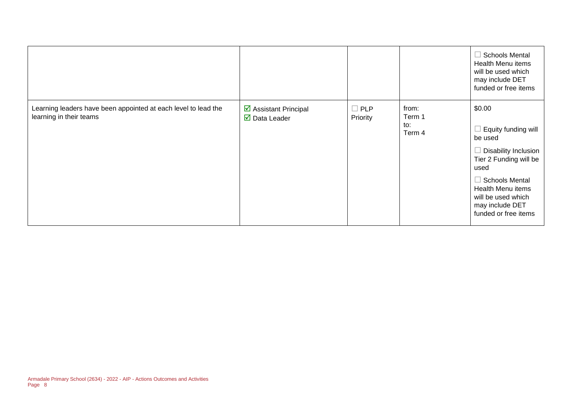|                                                                                           |                                        |                        |                                  | <b>Schools Mental</b><br>Health Menu items<br>will be used which<br>may include DET<br>funded or free items                                                                                                       |
|-------------------------------------------------------------------------------------------|----------------------------------------|------------------------|----------------------------------|-------------------------------------------------------------------------------------------------------------------------------------------------------------------------------------------------------------------|
| Learning leaders have been appointed at each level to lead the<br>learning in their teams | ☑ Assistant Principal<br>☑ Data Leader | $\Box$ PLP<br>Priority | from:<br>Term 1<br>to:<br>Term 4 | \$0.00<br>Equity funding will<br>be used<br>Disability Inclusion<br>Tier 2 Funding will be<br>used<br><b>Schools Mental</b><br>Health Menu items<br>will be used which<br>may include DET<br>funded or free items |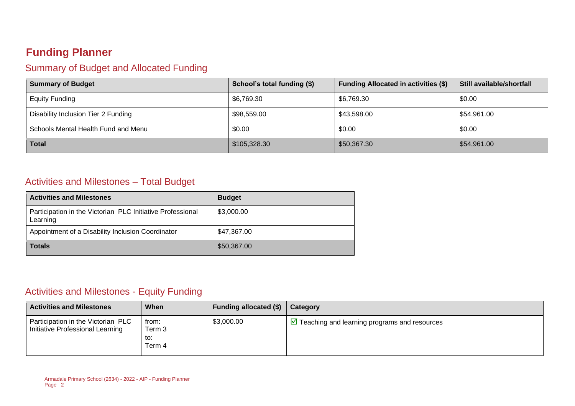## **Funding Planner**

#### Summary of Budget and Allocated Funding

| <b>Summary of Budget</b>            | School's total funding (\$) | <b>Funding Allocated in activities (\$)</b> | Still available/shortfall |
|-------------------------------------|-----------------------------|---------------------------------------------|---------------------------|
| <b>Equity Funding</b>               | \$6,769.30                  | \$6,769.30                                  | \$0.00                    |
| Disability Inclusion Tier 2 Funding | \$98,559.00                 | \$43,598.00                                 | \$54,961.00               |
| Schools Mental Health Fund and Menu | \$0.00                      | \$0.00                                      | \$0.00                    |
| <b>Total</b>                        | \$105,328.30                | \$50,367.30                                 | \$54,961.00               |

#### Activities and Milestones – Total Budget

| <b>Activities and Milestones</b>                                       | <b>Budget</b> |
|------------------------------------------------------------------------|---------------|
| Participation in the Victorian PLC Initiative Professional<br>Learning | \$3,000.00    |
| Appointment of a Disability Inclusion Coordinator                      | \$47,367.00   |
| <b>Totals</b>                                                          | \$50,367.00   |

#### Activities and Milestones - Equity Funding

| <b>Activities and Milestones</b>                                       | When                             | Funding allocated (\$) | Category                                                      |
|------------------------------------------------------------------------|----------------------------------|------------------------|---------------------------------------------------------------|
| Participation in the Victorian PLC<br>Initiative Professional Learning | from:<br>Term 3<br>to:<br>Term 4 | \$3,000.00             | $\triangleright$ Teaching and learning programs and resources |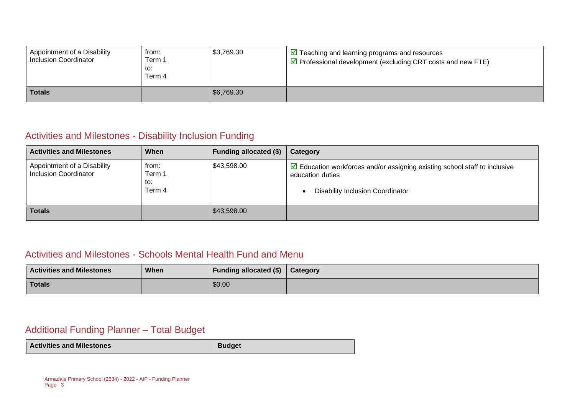| Appointment of a Disability<br>Inclusion Coordinator | from:<br>Term 1<br>to:<br>Term 4 | \$3,769.30 | $\triangleright$ Teaching and learning programs and resources<br>$\sqrt{2}$ Professional development (excluding CRT costs and new FTE) |
|------------------------------------------------------|----------------------------------|------------|----------------------------------------------------------------------------------------------------------------------------------------|
| <b>Totals</b>                                        |                                  | \$6,769.30 |                                                                                                                                        |

#### Activities and Milestones - Disability Inclusion Funding

| <b>Activities and Milestones</b>                            | When                             | <b>Funding allocated (\$)</b> | Category                                                                                                                                                              |
|-------------------------------------------------------------|----------------------------------|-------------------------------|-----------------------------------------------------------------------------------------------------------------------------------------------------------------------|
| Appointment of a Disability<br><b>Inclusion Coordinator</b> | from:<br>Term 1<br>to:<br>Term 4 | \$43,598.00                   | $\triangleright$ Education workforces and/or assigning existing school staff to inclusive<br>education duties<br><b>Disability Inclusion Coordinator</b><br>$\bullet$ |
| <b>Totals</b>                                               |                                  | \$43,598.00                   |                                                                                                                                                                       |

#### Activities and Milestones - Schools Mental Health Fund and Menu

| <b>Activities and Milestones</b> | When | Funding allocated $(\$)$   Category |  |
|----------------------------------|------|-------------------------------------|--|
| Totals                           |      | \$0.00                              |  |

#### Additional Funding Planner – Total Budget

| <b>Activities and Milestones</b> | <b>Budget</b> |
|----------------------------------|---------------|
|----------------------------------|---------------|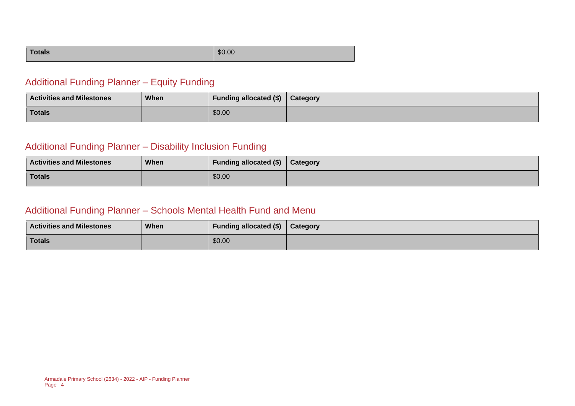| <b>The Company of the Company</b><br><b>otals</b> | \$0.00 |
|---------------------------------------------------|--------|
|---------------------------------------------------|--------|

#### Additional Funding Planner – Equity Funding

| <b>Activities and Milestones</b> | <b>When</b> | <b>Funding allocated (\$)</b> | <b>Category</b> |
|----------------------------------|-------------|-------------------------------|-----------------|
| <b>Totals</b>                    |             | \$0.00                        |                 |

#### Additional Funding Planner – Disability Inclusion Funding

| <b>Activities and Milestones</b> | <b>When</b> | <b>Funding allocated (\$)</b> | <b>Category</b> |
|----------------------------------|-------------|-------------------------------|-----------------|
| <b>Totals</b>                    |             | \$0.00                        |                 |

#### Additional Funding Planner – Schools Mental Health Fund and Menu

| <b>Activities and Milestones</b> | When | <b>Funding allocated (\$)</b> | Category |
|----------------------------------|------|-------------------------------|----------|
| Totals                           |      | \$0.00                        |          |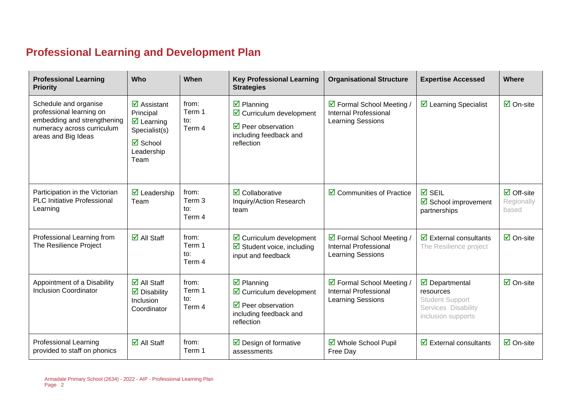## **Professional Learning and Development Plan**

| <b>Professional Learning</b><br><b>Priority</b>                                                                                       | Who                                                                                                                                                         | When                                        | <b>Key Professional Learning</b><br><b>Strategies</b>                                                                                                   | <b>Organisational Structure</b>                                                       | <b>Expertise Accessed</b>                                                                                                | Where                                             |
|---------------------------------------------------------------------------------------------------------------------------------------|-------------------------------------------------------------------------------------------------------------------------------------------------------------|---------------------------------------------|---------------------------------------------------------------------------------------------------------------------------------------------------------|---------------------------------------------------------------------------------------|--------------------------------------------------------------------------------------------------------------------------|---------------------------------------------------|
| Schedule and organise<br>professional learning on<br>embedding and strengthening<br>numeracy across curriculum<br>areas and Big Ideas | $\overline{\mathbf{z}}$ Assistant<br>Principal<br>$\overline{\mathbf{M}}$ Learning<br>Specialist(s)<br>$\overline{\mathbf{z}}$ School<br>Leadership<br>Team | from:<br>Term 1<br>to:<br>Term 4            | $\overline{\mathbf{z}}$ Planning<br>$\triangleright$ Curriculum development<br>$\triangledown$ Peer observation<br>including feedback and<br>reflection | ☑ Formal School Meeting /<br><b>Internal Professional</b><br><b>Learning Sessions</b> | $\boxtimes$ Learning Specialist                                                                                          | $\overline{\Box}$ On-site                         |
| Participation in the Victorian<br><b>PLC Initiative Professional</b><br>Learning                                                      | $\triangleright$ Leadership<br>Team                                                                                                                         | from:<br>Term <sub>3</sub><br>to:<br>Term 4 | $\overline{\mathbf{z}}$ Collaborative<br>Inquiry/Action Research<br>team                                                                                | $\boxdot$ Communities of Practice                                                     | $\overline{M}$ SEIL<br>$\boxtimes$ School improvement<br>partnerships                                                    | $\overline{\Box}$ Off-site<br>Regionally<br>based |
| Professional Learning from<br>The Resilience Project                                                                                  | $\overline{\mathsf{d}}$ All Staff                                                                                                                           | from:<br>Term 1<br>to:<br>Term 4            | $\triangleright$ Curriculum development<br>$\boxtimes$ Student voice, including<br>input and feedback                                                   | ☑ Formal School Meeting /<br><b>Internal Professional</b><br><b>Learning Sessions</b> | $\overline{\mathbf{y}}$ External consultants<br>The Resilience project                                                   | $\overline{\Box}$ On-site                         |
| Appointment of a Disability<br><b>Inclusion Coordinator</b>                                                                           | $\overline{\mathsf{M}}$ All Staff<br>$\triangledown$ Disability<br>Inclusion<br>Coordinator                                                                 | from:<br>Term 1<br>to:<br>Term 4            | $\boxtimes$ Planning<br>$\boxdot$ Curriculum development<br>$\triangledown$ Peer observation<br>including feedback and<br>reflection                    | ☑ Formal School Meeting /<br><b>Internal Professional</b><br>Learning Sessions        | $\overline{\mathbf{y}}$ Departmental<br>resources<br><b>Student Support</b><br>Services Disability<br>inclusion supports | $\overline{\Box}$ On-site                         |
| <b>Professional Learning</b><br>provided to staff on phonics                                                                          | $\overline{\mathbf{z}}$ All Staff                                                                                                                           | from:<br>Term 1                             | $\triangleright$ Design of formative<br>assessments                                                                                                     | ☑ Whole School Pupil<br>Free Day                                                      | $\overline{\mathbf{y}}$ External consultants                                                                             | $\overline{\mathsf{M}}$ On-site                   |